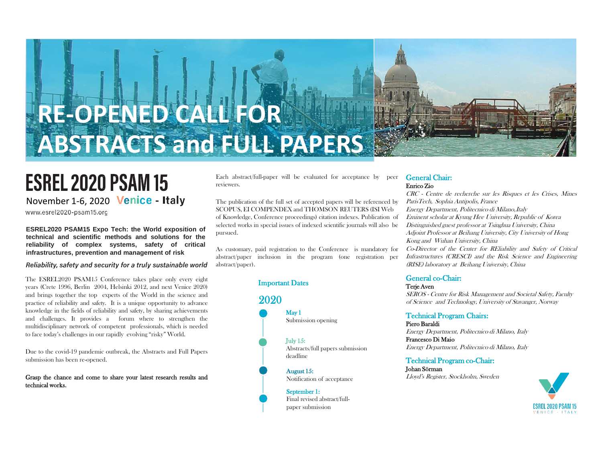

# **RE-OPENED CALL FOR ABSTRACTS and FULL PAPERS**

# **ESREL 2020 PSAM 15** November 1-6, 2020 Venice - Italy

www.esrel2020-psam15.org

**ESREL2020 PSAM15 Expo Tech: the World exposition of technical and scientific methods and solutions for the reliability of complex systems, safety of critical infrastructures, prevention and management of risk**

#### Reliability, safety and security for a truly sustainable world

The ESREL2020 PSAM15 Conference takes place only every eight years (Crete 1996, Berlin 2004, Helsinki 2012, and next Venice 2020) and brings together the top experts of the World in the science and practice of reliability and safety. It is a unique opportunity to advance knowledge in the fields of reliability and safety, by sharing achievements and challenges. It provides a forum where to strengthen the multidisciplinary network of competent professionals, which is needed to face today's challenges in our rapidly evolving "risky" World.

Due to the covid-19 pandemic outbreak, the Abstracts and Full Papers submission has been re-opened.

#### Grasp the chance and come to share your latest research results and technical works.

Each abstract/full-paper will be evaluated for acceptance by peer reviewers.

The publication of the full set of accepted papers will be referenced by SCOPUS, EI COMPENDEX and THOMSON REUTERS (ISI Web of Knowledge, Conference proceedings) citation indexes. Publication of selected works in special issues of indexed scientific journals will also be pursued.

As customary, paid registration to the Conference is mandatory for abstract/paper inclusion in the program (one registration per abstract/paper).

#### Important Dates

# 2020

May 1 Submission opening

July 15: Abstracts/full papers submission deadline

August 15: Notification of acceptance

September 1: Final revised abstract/fullpaper submission

#### General Chair: Enrico Zio

CRC - Centre de recherche sur les Risques et les Crises, Mines ParisTech, Sophia Antipolis, France Energy Department, Politecnico di Milano,Italy Eminent scholar at Kyung Hee University, Republic of Korea Distinguished guest professor at Tsinghua University, China Adjoint Professor at Beihang University, City University of Hong Kong and Wuhan University, China Co-Director of the Center for REliability and Safety of Critical Infrastructures (CRESCI) and the Risk Science and Engineering (RISE) laboratory at Beihang University, China

#### General co-Chair:

Terie Aven SEROS - Centre for Risk Management and Societal Safety, Faculty of Science and Technology, University of Stavanger, Norway

#### Technical Program Chairs:

Piero Baraldi Energy Department, Politecnico di Milano, Italy Francesco Di Maio Energy Department, Politecnico di Milano, Italy

#### Technical Program co-Chair:

Johan Sörman Lloyd's Register, Stockholm, Sweden